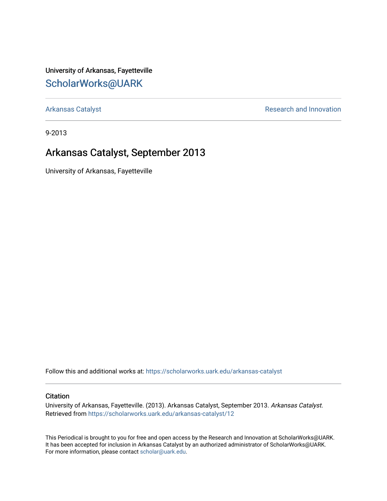University of Arkansas, Fayetteville [ScholarWorks@UARK](https://scholarworks.uark.edu/) 

[Arkansas Catalyst](https://scholarworks.uark.edu/arkansas-catalyst) **Research and Innovation** 

9-2013

## Arkansas Catalyst, September 2013

University of Arkansas, Fayetteville

Follow this and additional works at: [https://scholarworks.uark.edu/arkansas-catalyst](https://scholarworks.uark.edu/arkansas-catalyst?utm_source=scholarworks.uark.edu%2Farkansas-catalyst%2F12&utm_medium=PDF&utm_campaign=PDFCoverPages) 

#### **Citation**

University of Arkansas, Fayetteville. (2013). Arkansas Catalyst, September 2013. Arkansas Catalyst. Retrieved from [https://scholarworks.uark.edu/arkansas-catalyst/12](https://scholarworks.uark.edu/arkansas-catalyst/12?utm_source=scholarworks.uark.edu%2Farkansas-catalyst%2F12&utm_medium=PDF&utm_campaign=PDFCoverPages) 

This Periodical is brought to you for free and open access by the Research and Innovation at ScholarWorks@UARK. It has been accepted for inclusion in Arkansas Catalyst by an authorized administrator of ScholarWorks@UARK. For more information, please contact [scholar@uark.edu](mailto:scholar@uark.edu).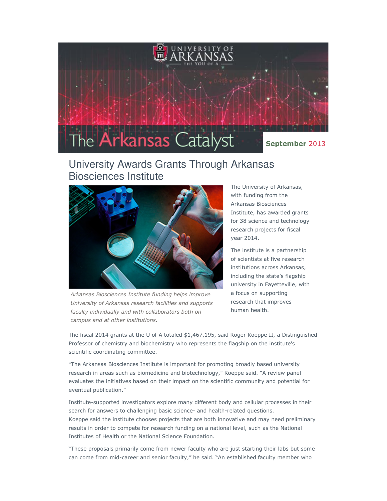

## University Awards Grants Through Arkansas Biosciences Institute



Arkansas Biosciences Institute funding helps improve University of Arkansas research facilities and supports faculty individually and with collaborators both on campus and at other institutions.

The University of Arkansas, with funding from the Arkansas Biosciences Institute, has awarded grants for 38 science and technology research projects for fiscal year 2014.

The institute is a partnership of scientists at five research institutions across Arkansas, including the state's flagship university in Fayetteville, with a focus on supporting research that improves human health.

The fiscal 2014 grants at the U of A totaled \$1,467,195, said Roger Koeppe II, a Distinguished Professor of chemistry and biochemistry who represents the flagship on the institute's scientific coordinating committee.

"The Arkansas Biosciences Institute is important for promoting broadly based university research in areas such as biomedicine and biotechnology," Koeppe said. "A review panel evaluates the initiatives based on their impact on the scientific community and potential for eventual publication."

Institute-supported investigators explore many different body and cellular processes in their search for answers to challenging basic science- and health-related questions. Koeppe said the institute chooses projects that are both innovative and may need preliminary results in order to compete for research funding on a national level, such as the National Institutes of Health or the National Science Foundation.

"These proposals primarily come from newer faculty who are just starting their labs but some can come from mid-career and senior faculty," he said. "An established faculty member who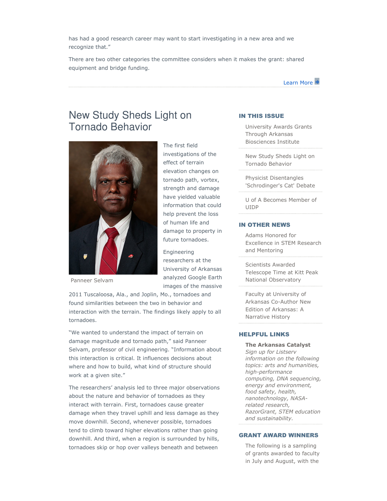has had a good research career may want to start investigating in a new area and we recognize that."

There are two other categories the committee considers when it makes the grant: shared equipment and bridge funding.



## New Study Sheds Light on Tornado Behavior



Panneer Selvam

The first field investigations of the effect of terrain elevation changes on tornado path, vortex, strength and damage have yielded valuable information that could help prevent the loss of human life and damage to property in future tornadoes.

Engineering researchers at the University of Arkansas analyzed Google Earth images of the massive

2011 Tuscaloosa, Ala., and Joplin, Mo., tornadoes and found similarities between the two in behavior and interaction with the terrain. The findings likely apply to all tornadoes.

"We wanted to understand the impact of terrain on damage magnitude and tornado path," said Panneer Selvam, professor of civil engineering. "Information about this interaction is critical. It influences decisions about where and how to build, what kind of structure should work at a given site."

The researchers' analysis led to three major observations about the nature and behavior of tornadoes as they interact with terrain. First, tornadoes cause greater damage when they travel uphill and less damage as they move downhill. Second, whenever possible, tornadoes tend to climb toward higher elevations rather than going downhill. And third, when a region is surrounded by hills, tornadoes skip or hop over valleys beneath and between

#### IN THIS ISSUE

University Awards Grants Through Arkansas Biosciences Institute

New Study Sheds Light on Tornado Behavior

Physicist Disentangles 'Schrodinger's Cat' Debate

U of A Becomes Member of UIDP

#### IN OTHER NEWS

Adams Honored for Excellence in STEM Research and Mentoring

Scientists Awarded Telescope Time at Kitt Peak National Observatory

Faculty at University of Arkansas Co-Author New Edition of Arkansas: A Narrative History

#### HELPFUL LINKS

The Arkansas Catalyst Sign up for Listserv information on the following topics: arts and humanities, high-performance computing, DNA sequencing, energy and environment, food safety, health, nanotechnology, NASArelated research, RazorGrant, STEM education and sustainability.

#### GRANT AWARD WINNERS

The following is a sampling of grants awarded to faculty in July and August, with the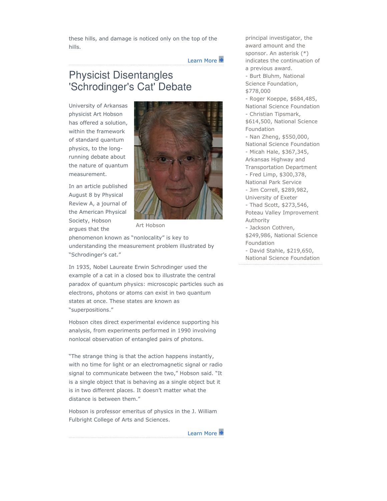these hills, and damage is noticed only on the top of the hills.

#### Learn More

## Physicist Disentangles 'Schrodinger's Cat' Debate

University of Arkansas physicist Art Hobson has offered a solution, within the framework of standard quantum physics, to the longrunning debate about the nature of quantum measurement.

In an article published August 8 by Physical Review A, a journal of the American Physical Society, Hobson argues that the



Art Hobson

phenomenon known as "nonlocality" is key to understanding the measurement problem illustrated by "Schrodinger's cat."

In 1935, Nobel Laureate Erwin Schrodinger used the example of a cat in a closed box to illustrate the central paradox of quantum physics: microscopic particles such as electrons, photons or atoms can exist in two quantum states at once. These states are known as "superpositions."

Hobson cites direct experimental evidence supporting his analysis, from experiments performed in 1990 involving nonlocal observation of entangled pairs of photons.

"The strange thing is that the action happens instantly, with no time for light or an electromagnetic signal or radio signal to communicate between the two," Hobson said. "It is a single object that is behaving as a single object but it is in two different places. It doesn't matter what the distance is between them."

Hobson is professor emeritus of physics in the J. William Fulbright College of Arts and Sciences.



principal investigator, the award amount and the sponsor. An asterisk (\*) indicates the continuation of a previous award. - Burt Bluhm, National Science Foundation, \$778,000 - Roger Koeppe, \$684,485, National Science Foundation - Christian Tipsmark, \$614,500, National Science Foundation - Nan Zheng, \$550,000, National Science Foundation - Micah Hale, \$367,345, Arkansas Highway and Transportation Department - Fred Limp, \$300,378, National Park Service - Jim Correll, \$289,982, University of Exeter - Thad Scott, \$273,546, Poteau Valley Improvement Authority - Jackson Cothren, \$249,986, National Science Foundation - David Stahle, \$219,650, National Science Foundation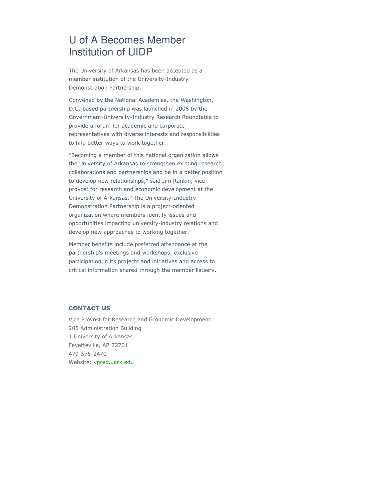# U of A Becomes Member Institution of UIDP

The University of Arkansas has been accepted as a member institution of the University-Industry Demonstration Partnership.

Convened by the National Academies, the Washington, D.C.-based partnership was launched in 2006 by the Government-University-Industry Research Roundtable to provide a forum for academic and corporate representatives with diverse interests and responsibilities to find better ways to work together.

"Becoming a member of this national organization allows the University of Arkansas to strengthen existing research collaborations and partnerships and be in a better position to develop new relationships," said Jim Rankin, vice provost for research and economic development at the University of Arkansas. "The University-Industry Demonstration Partnership is a project-oriented organization where members identify issues and opportunities impacting university-industry relations and develop new approaches to working together."

Member benefits include preferred attendance at the partnership's meetings and workshops, exclusive participation in its projects and initiatives and access to critical information shared through the member listserv.

#### CONTACT US

Vice Provost for Research and Economic Development 205 Administration Building 1 University of Arkansas Fayetteville, AR 72701 479-575-2470 Website: vpred.uark.edu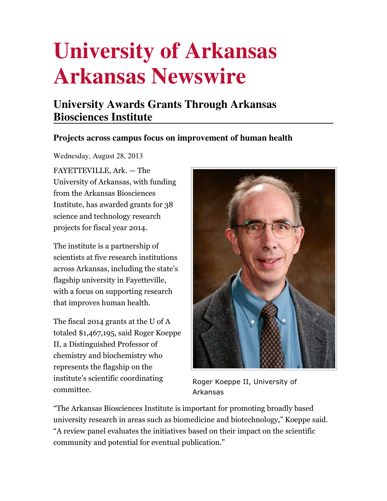# **University of Arkansas Arkansas Newswire**

# **University Awards Grants Through Arkansas Biosciences Institute**

## **Projects across campus focus on improvement of human health**

Wednesday, August 28, 2013

FAYETTEVILLE, Ark. — The University of Arkansas, with funding from the Arkansas Biosciences Institute, has awarded grants for 38 science and technology research projects for fiscal year 2014.

The institute is a partnership of scientists at five research institutions across Arkansas, including the state's flagship university in Fayetteville, with a focus on supporting research that improves human health.

The fiscal 2014 grants at the U of A totaled \$1,467,195, said Roger Koeppe II, a Distinguished Professor of chemistry and biochemistry who represents the flagship on the institute's scientific coordinating committee.



Roger Koeppe II, University of Arkansas

"The Arkansas Biosciences Institute is important for promoting broadly based university research in areas such as biomedicine and biotechnology," Koeppe said. "A review panel evaluates the initiatives based on their impact on the scientific community and potential for eventual publication."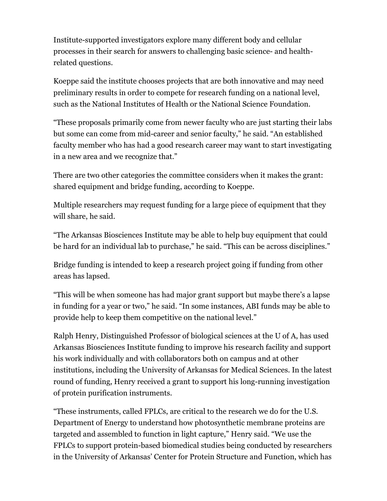Institute-supported investigators explore many different body and cellular processes in their search for answers to challenging basic science- and healthrelated questions.

Koeppe said the institute chooses projects that are both innovative and may need preliminary results in order to compete for research funding on a national level, such as the National Institutes of Health or the National Science Foundation.

"These proposals primarily come from newer faculty who are just starting their labs but some can come from mid-career and senior faculty," he said. "An established faculty member who has had a good research career may want to start investigating in a new area and we recognize that."

There are two other categories the committee considers when it makes the grant: shared equipment and bridge funding, according to Koeppe.

Multiple researchers may request funding for a large piece of equipment that they will share, he said.

"The Arkansas Biosciences Institute may be able to help buy equipment that could be hard for an individual lab to purchase," he said. "This can be across disciplines."

Bridge funding is intended to keep a research project going if funding from other areas has lapsed.

"This will be when someone has had major grant support but maybe there's a lapse in funding for a year or two," he said. "In some instances, ABI funds may be able to provide help to keep them competitive on the national level."

Ralph Henry, Distinguished Professor of biological sciences at the U of A, has used Arkansas Biosciences Institute funding to improve his research facility and support his work individually and with collaborators both on campus and at other institutions, including the University of Arkansas for Medical Sciences. In the latest round of funding, Henry received a grant to support his long-running investigation of protein purification instruments.

"These instruments, called FPLCs, are critical to the research we do for the U.S. Department of Energy to understand how photosynthetic membrane proteins are targeted and assembled to function in light capture," Henry said. "We use the FPLCs to support protein-based biomedical studies being conducted by researchers in the University of Arkansas' Center for Protein Structure and Function, which has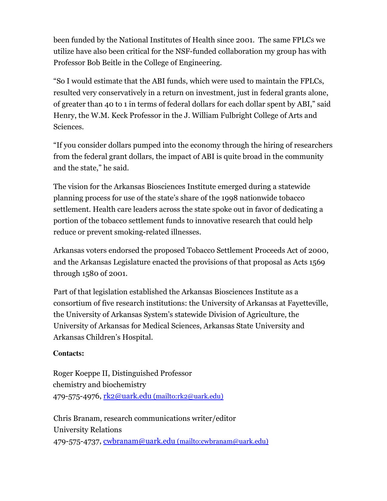been funded by the National Institutes of Health since 2001. The same FPLCs we utilize have also been critical for the NSF-funded collaboration my group has with Professor Bob Beitle in the College of Engineering.

"So I would estimate that the ABI funds, which were used to maintain the FPLCs, resulted very conservatively in a return on investment, just in federal grants alone, of greater than 40 to 1 in terms of federal dollars for each dollar spent by ABI," said Henry, the W.M. Keck Professor in the J. William Fulbright College of Arts and Sciences.

"If you consider dollars pumped into the economy through the hiring of researchers from the federal grant dollars, the impact of ABI is quite broad in the community and the state," he said.

The vision for the Arkansas Biosciences Institute emerged during a statewide planning process for use of the state's share of the 1998 nationwide tobacco settlement. Health care leaders across the state spoke out in favor of dedicating a portion of the tobacco settlement funds to innovative research that could help reduce or prevent smoking-related illnesses.

Arkansas voters endorsed the proposed Tobacco Settlement Proceeds Act of 2000, and the Arkansas Legislature enacted the provisions of that proposal as Acts 1569 through 1580 of 2001.

Part of that legislation established the Arkansas Biosciences Institute as a consortium of five research institutions: the University of Arkansas at Fayetteville, the University of Arkansas System's statewide Division of Agriculture, the University of Arkansas for Medical Sciences, Arkansas State University and Arkansas Children's Hospital.

### **Contacts:**

Roger Koeppe II, Distinguished Professor chemistry and biochemistry 479-575-4976, rk2@uark.edu (mailto:rk2@uark.edu)

Chris Branam, research communications writer/editor University Relations 479-575-4737, cwbranam@uark.edu (mailto:cwbranam@uark.edu)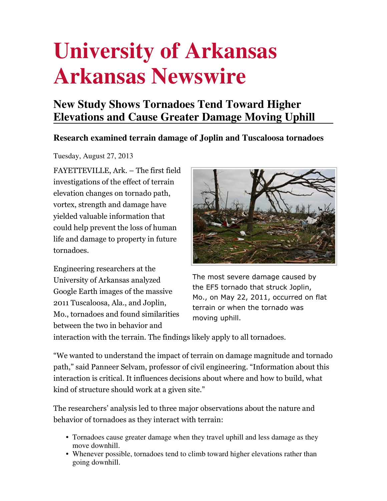# **University of Arkansas Arkansas Newswire**

# **New Study Shows Tornadoes Tend Toward Higher Elevations and Cause Greater Damage Moving Uphill**

## **Research examined terrain damage of Joplin and Tuscaloosa tornadoes**

Tuesday, August 27, 2013

FAYETTEVILLE, Ark. – The first field investigations of the effect of terrain elevation changes on tornado path, vortex, strength and damage have yielded valuable information that could help prevent the loss of human life and damage to property in future tornadoes.

Engineering researchers at the University of Arkansas analyzed Google Earth images of the massive 2011 Tuscaloosa, Ala., and Joplin, Mo., tornadoes and found similarities between the two in behavior and



The most severe damage caused by the EF5 tornado that struck Joplin, Mo., on May 22, 2011, occurred on flat terrain or when the tornado was moving uphill.

interaction with the terrain. The findings likely apply to all tornadoes.

"We wanted to understand the impact of terrain on damage magnitude and tornado path," said Panneer Selvam, professor of civil engineering. "Information about this interaction is critical. It influences decisions about where and how to build, what kind of structure should work at a given site."

The researchers' analysis led to three major observations about the nature and behavior of tornadoes as they interact with terrain:

- Tornadoes cause greater damage when they travel uphill and less damage as they move downhill.
- Whenever possible, tornadoes tend to climb toward higher elevations rather than going downhill.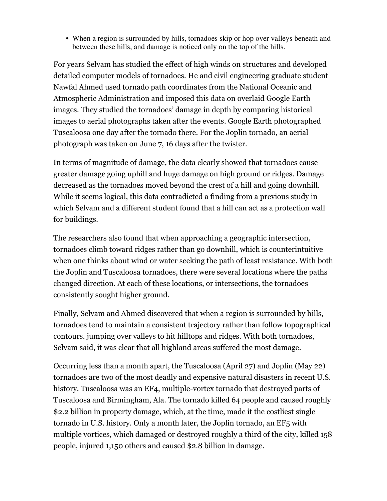• When a region is surrounded by hills, tornadoes skip or hop over valleys beneath and between these hills, and damage is noticed only on the top of the hills.

For years Selvam has studied the effect of high winds on structures and developed detailed computer models of tornadoes. He and civil engineering graduate student Nawfal Ahmed used tornado path coordinates from the National Oceanic and Atmospheric Administration and imposed this data on overlaid Google Earth images. They studied the tornadoes' damage in depth by comparing historical images to aerial photographs taken after the events. Google Earth photographed Tuscaloosa one day after the tornado there. For the Joplin tornado, an aerial photograph was taken on June 7, 16 days after the twister.

In terms of magnitude of damage, the data clearly showed that tornadoes cause greater damage going uphill and huge damage on high ground or ridges. Damage decreased as the tornadoes moved beyond the crest of a hill and going downhill. While it seems logical, this data contradicted a finding from a previous study in which Selvam and a different student found that a hill can act as a protection wall for buildings.

The researchers also found that when approaching a geographic intersection, tornadoes climb toward ridges rather than go downhill, which is counterintuitive when one thinks about wind or water seeking the path of least resistance. With both the Joplin and Tuscaloosa tornadoes, there were several locations where the paths changed direction. At each of these locations, or intersections, the tornadoes consistently sought higher ground.

Finally, Selvam and Ahmed discovered that when a region is surrounded by hills, tornadoes tend to maintain a consistent trajectory rather than follow topographical contours. jumping over valleys to hit hilltops and ridges. With both tornadoes, Selvam said, it was clear that all highland areas suffered the most damage.

Occurring less than a month apart, the Tuscaloosa (April 27) and Joplin (May 22) tornadoes are two of the most deadly and expensive natural disasters in recent U.S. history. Tuscaloosa was an EF4, multiple-vortex tornado that destroyed parts of Tuscaloosa and Birmingham, Ala. The tornado killed 64 people and caused roughly \$2.2 billion in property damage, which, at the time, made it the costliest single tornado in U.S. history. Only a month later, the Joplin tornado, an EF5 with multiple vortices, which damaged or destroyed roughly a third of the city, killed 158 people, injured 1,150 others and caused \$2.8 billion in damage.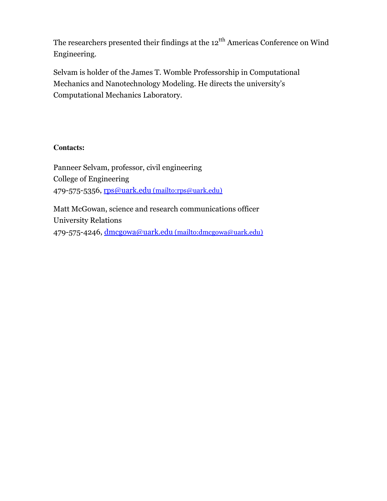The researchers presented their findings at the 12<sup>tth</sup> Americas Conference on Wind Engineering.

Selvam is holder of the James T. Womble Professorship in Computational Mechanics and Nanotechnology Modeling. He directs the university's Computational Mechanics Laboratory.

### **Contacts:**

Panneer Selvam, professor, civil engineering College of Engineering 479-575-5356, rps@uark.edu (mailto:rps@uark.edu)

Matt McGowan, science and research communications officer University Relations 479-575-4246, dmcgowa@uark.edu (mailto:dmcgowa@uark.edu)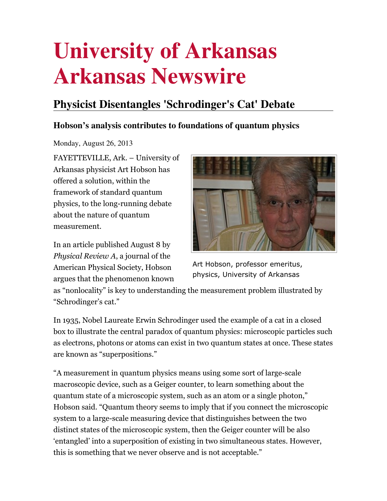# **University of Arkansas Arkansas Newswire**

# **Physicist Disentangles 'Schrodinger's Cat' Debate**

## **Hobson's analysis contributes to foundations of quantum physics**

Monday, August 26, 2013

FAYETTEVILLE, Ark. – University of Arkansas physicist Art Hobson has offered a solution, within the framework of standard quantum physics, to the long-running debate about the nature of quantum measurement.

In an article published August 8 by Physical Review A, a journal of the American Physical Society, Hobson argues that the phenomenon known



Art Hobson, professor emeritus, physics, University of Arkansas

as "nonlocality" is key to understanding the measurement problem illustrated by "Schrodinger's cat."

In 1935, Nobel Laureate Erwin Schrodinger used the example of a cat in a closed box to illustrate the central paradox of quantum physics: microscopic particles such as electrons, photons or atoms can exist in two quantum states at once. These states are known as "superpositions."

"A measurement in quantum physics means using some sort of large-scale macroscopic device, such as a Geiger counter, to learn something about the quantum state of a microscopic system, such as an atom or a single photon," Hobson said. "Quantum theory seems to imply that if you connect the microscopic system to a large-scale measuring device that distinguishes between the two distinct states of the microscopic system, then the Geiger counter will be also 'entangled' into a superposition of existing in two simultaneous states. However, this is something that we never observe and is not acceptable."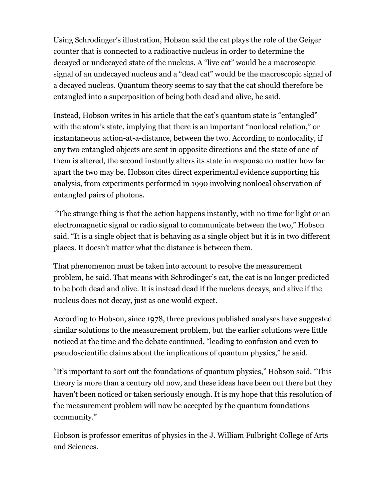Using Schrodinger's illustration, Hobson said the cat plays the role of the Geiger counter that is connected to a radioactive nucleus in order to determine the decayed or undecayed state of the nucleus. A "live cat" would be a macroscopic signal of an undecayed nucleus and a "dead cat" would be the macroscopic signal of a decayed nucleus. Quantum theory seems to say that the cat should therefore be entangled into a superposition of being both dead and alive, he said.

Instead, Hobson writes in his article that the cat's quantum state is "entangled" with the atom's state, implying that there is an important "nonlocal relation," or instantaneous action-at-a-distance, between the two. According to nonlocality, if any two entangled objects are sent in opposite directions and the state of one of them is altered, the second instantly alters its state in response no matter how far apart the two may be. Hobson cites direct experimental evidence supporting his analysis, from experiments performed in 1990 involving nonlocal observation of entangled pairs of photons.

 "The strange thing is that the action happens instantly, with no time for light or an electromagnetic signal or radio signal to communicate between the two," Hobson said. "It is a single object that is behaving as a single object but it is in two different places. It doesn't matter what the distance is between them.

That phenomenon must be taken into account to resolve the measurement problem, he said. That means with Schrodinger's cat, the cat is no longer predicted to be both dead and alive. It is instead dead if the nucleus decays, and alive if the nucleus does not decay, just as one would expect.

According to Hobson, since 1978, three previous published analyses have suggested similar solutions to the measurement problem, but the earlier solutions were little noticed at the time and the debate continued, "leading to confusion and even to pseudoscientific claims about the implications of quantum physics," he said.

"It's important to sort out the foundations of quantum physics," Hobson said. "This theory is more than a century old now, and these ideas have been out there but they haven't been noticed or taken seriously enough. It is my hope that this resolution of the measurement problem will now be accepted by the quantum foundations community."

Hobson is professor emeritus of physics in the J. William Fulbright College of Arts and Sciences.